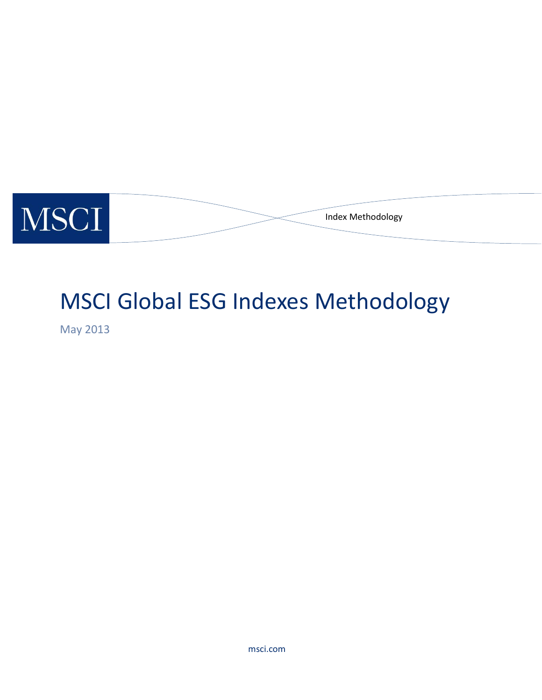

# MSCI Global ESG Indexes Methodology

May 2013

msci.com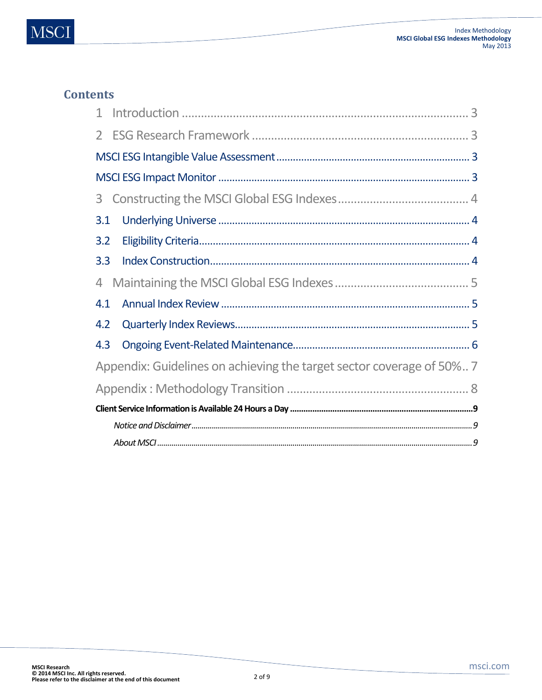## **Contents**

<span id="page-1-0"></span>

| $\mathbf{1}$                                                          |  |  |  |  |  |  |
|-----------------------------------------------------------------------|--|--|--|--|--|--|
| $2^{\circ}$                                                           |  |  |  |  |  |  |
|                                                                       |  |  |  |  |  |  |
|                                                                       |  |  |  |  |  |  |
| 3                                                                     |  |  |  |  |  |  |
| 3.1                                                                   |  |  |  |  |  |  |
| 3.2                                                                   |  |  |  |  |  |  |
| 3.3                                                                   |  |  |  |  |  |  |
| $\overline{4}$                                                        |  |  |  |  |  |  |
| 4.1                                                                   |  |  |  |  |  |  |
| 4.2                                                                   |  |  |  |  |  |  |
| 4.3                                                                   |  |  |  |  |  |  |
| Appendix: Guidelines on achieving the target sector coverage of 50% 7 |  |  |  |  |  |  |
|                                                                       |  |  |  |  |  |  |
|                                                                       |  |  |  |  |  |  |
|                                                                       |  |  |  |  |  |  |
|                                                                       |  |  |  |  |  |  |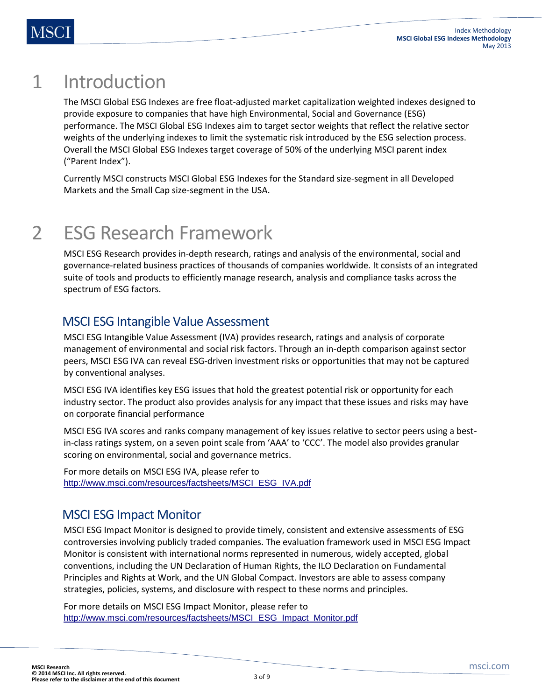## 1 Introduction

The MSCI Global ESG Indexes are free float-adjusted market capitalization weighted indexes designed to provide exposure to companies that have high Environmental, Social and Governance (ESG) performance. The MSCI Global ESG Indexes aim to target sector weights that reflect the relative sector weights of the underlying indexes to limit the systematic risk introduced by the ESG selection process. Overall the MSCI Global ESG Indexes target coverage of 50% of the underlying MSCI parent index ("Parent Index").

<span id="page-2-0"></span>Currently MSCI constructs MSCI Global ESG Indexes for the Standard size-segment in all Developed Markets and the Small Cap size-segment in the USA.

## 2 ESG Research Framework

MSCI ESG Research provides in-depth research, ratings and analysis of the environmental, social and governance-related business practices of thousands of companies worldwide. It consists of an integrated suite of tools and products to efficiently manage research, analysis and compliance tasks across the spectrum of ESG factors.

### <span id="page-2-1"></span>MSCI ESG Intangible Value Assessment

MSCI ESG Intangible Value Assessment (IVA) provides research, ratings and analysis of corporate management of environmental and social risk factors. Through an in-depth comparison against sector peers, MSCI ESG IVA can reveal ESG-driven investment risks or opportunities that may not be captured by conventional analyses.

MSCI ESG IVA identifies key ESG issues that hold the greatest potential risk or opportunity for each industry sector. The product also provides analysis for any impact that these issues and risks may have on corporate financial performance

MSCI ESG IVA scores and ranks company management of key issues relative to sector peers using a bestin-class ratings system, on a seven point scale from 'AAA' to 'CCC'. The model also provides granular scoring on environmental, social and governance metrics.

For more details on MSCI ESG IVA, please refer to [http://www.msci.com/resources/factsheets/MSCI\\_ESG\\_IVA.pdf](http://www.msci.com/resources/factsheets/MSCI_ESG_IVA.pdf)

## <span id="page-2-2"></span>MSCI ESG Impact Monitor

MSCI ESG Impact Monitor is designed to provide timely, consistent and extensive assessments of ESG controversies involving publicly traded companies. The evaluation framework used in MSCI ESG Impact Monitor is consistent with international norms represented in numerous, widely accepted, global conventions, including the UN Declaration of Human Rights, the ILO Declaration on Fundamental Principles and Rights at Work, and the UN Global Compact. Investors are able to assess company strategies, policies, systems, and disclosure with respect to these norms and principles.

For more details on MSCI ESG Impact Monitor, please refer to [http://www.msci.com/resources/factsheets/MSCI\\_ESG\\_Impact\\_Monitor.pdf](http://www.msci.com/resources/factsheets/MSCI_ESG_Impact_Monitor.pdf)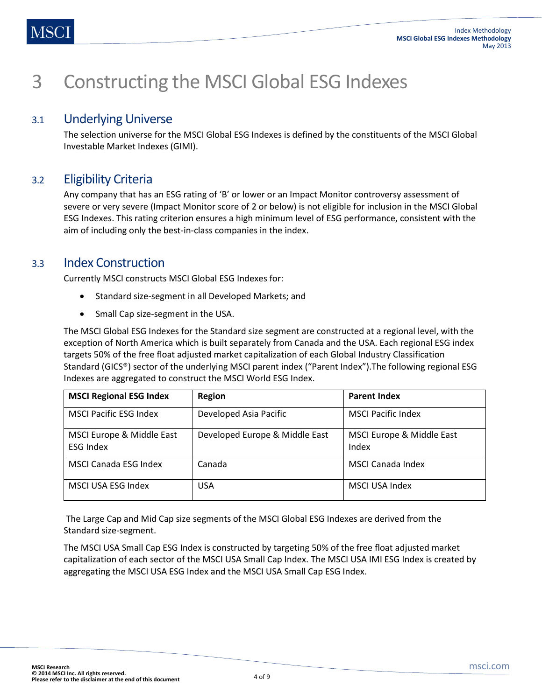## <span id="page-3-0"></span>3 Constructing the MSCI Global ESG Indexes

#### 3.1 Underlying Universe

<span id="page-3-2"></span><span id="page-3-1"></span>The selection universe for the MSCI Global ESG Indexes is defined by the constituents of the MSCI Global Investable Market Indexes (GIMI).

### 3.2 Eligibility Criteria

Any company that has an ESG rating of 'B' or lower or an Impact Monitor controversy assessment of severe or very severe (Impact Monitor score of 2 or below) is not eligible for inclusion in the MSCI Global ESG Indexes. This rating criterion ensures a high minimum level of ESG performance, consistent with the aim of including only the best-in-class companies in the index.

#### 3.3 Index Construction

<span id="page-3-3"></span>Currently MSCI constructs MSCI Global ESG Indexes for:

- Standard size-segment in all Developed Markets; and
- Small Cap size-segment in the USA.

The MSCI Global ESG Indexes for the Standard size segment are constructed at a regional level, with the exception of North America which is built separately from Canada and the USA. Each regional ESG index targets 50% of the free float adjusted market capitalization of each Global Industry Classification Standard (GICS®) sector of the underlying MSCI parent index ("Parent Index").The following regional ESG Indexes are aggregated to construct the MSCI World ESG Index.

| <b>MSCI Regional ESG Index</b>                | Region                         | <b>Parent Index</b>                |  |
|-----------------------------------------------|--------------------------------|------------------------------------|--|
| <b>MSCI Pacific ESG Index</b>                 | Developed Asia Pacific         | <b>MSCI Pacific Index</b>          |  |
| MSCI Europe & Middle East<br><b>ESG Index</b> | Developed Europe & Middle East | MSCI Europe & Middle East<br>Index |  |
| MSCI Canada ESG Index                         | Canada                         | MSCI Canada Index                  |  |
| MSCI USA ESG Index                            | <b>USA</b>                     | <b>MSCI USA Index</b>              |  |

The Large Cap and Mid Cap size segments of the MSCI Global ESG Indexes are derived from the Standard size-segment.

The MSCI USA Small Cap ESG Index is constructed by targeting 50% of the free float adjusted market capitalization of each sector of the MSCI USA Small Cap Index. The MSCI USA IMI ESG Index is created by aggregating the MSCI USA ESG Index and the MSCI USA Small Cap ESG Index.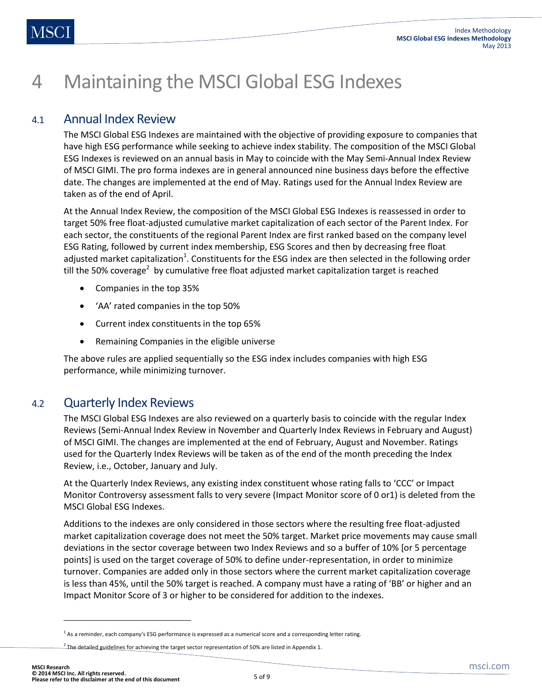## <span id="page-4-0"></span>4 Maintaining the MSCI Global ESG Indexes

#### 4.1 Annual Index Review

<span id="page-4-1"></span>The MSCI Global ESG Indexes are maintained with the objective of providing exposure to companies that have high ESG performance while seeking to achieve index stability. The composition of the MSCI Global ESG Indexes is reviewed on an annual basis in May to coincide with the May Semi-Annual Index Review of MSCI GIMI. The pro forma indexes are in general announced nine business days before the effective date. The changes are implemented at the end of May. Ratings used for the Annual Index Review are taken as of the end of April.

At the Annual Index Review, the composition of the MSCI Global ESG Indexes is reassessed in order to target 50% free float-adjusted cumulative market capitalization of each sector of the Parent Index. For each sector, the constituents of the regional Parent Index are first ranked based on the company level ESG Rating, followed by current index membership, ESG Scores and then by decreasing free float adjusted market capitalization<sup>1</sup>. Constituents for the ESG index are then selected in the following order till the 50% coverage<sup>2</sup> by cumulative free float adjusted market capitalization target is reached

- Companies in the top 35%
- 'AA' rated companies in the top 50%
- Current index constituents in the top 65%
- Remaining Companies in the eligible universe

<span id="page-4-2"></span>The above rules are applied sequentially so the ESG index includes companies with high ESG performance, while minimizing turnover.

#### 4.2 Quarterly Index Reviews

The MSCI Global ESG Indexes are also reviewed on a quarterly basis to coincide with the regular Index Reviews (Semi-Annual Index Review in November and Quarterly Index Reviews in February and August) of MSCI GIMI. The changes are implemented at the end of February, August and November. Ratings used for the Quarterly Index Reviews will be taken as of the end of the month preceding the Index Review, i.e., October, January and July.

At the Quarterly Index Reviews, any existing index constituent whose rating falls to 'CCC' or Impact Monitor Controversy assessment falls to very severe (Impact Monitor score of 0 or1) is deleted from the MSCI Global ESG Indexes.

Additions to the indexes are only considered in those sectors where the resulting free float-adjusted market capitalization coverage does not meet the 50% target. Market price movements may cause small deviations in the sector coverage between two Index Reviews and so a buffer of 10% [or 5 percentage points] is used on the target coverage of 50% to define under-representation, in order to minimize turnover. Companies are added only in those sectors where the current market capitalization coverage is less than 45%, until the 50% target is reached. A company must have a rating of 'BB' or higher and an Impact Monitor Score of 3 or higher to be considered for addition to the indexes.

l

<sup>&</sup>lt;sup>1</sup> As a reminder, each company's ESG performance is expressed as a numerical score and a corresponding letter rating.

 $^2$  The detailed guidelines for achieving the target sector representation of 50% are listed in Appendix 1.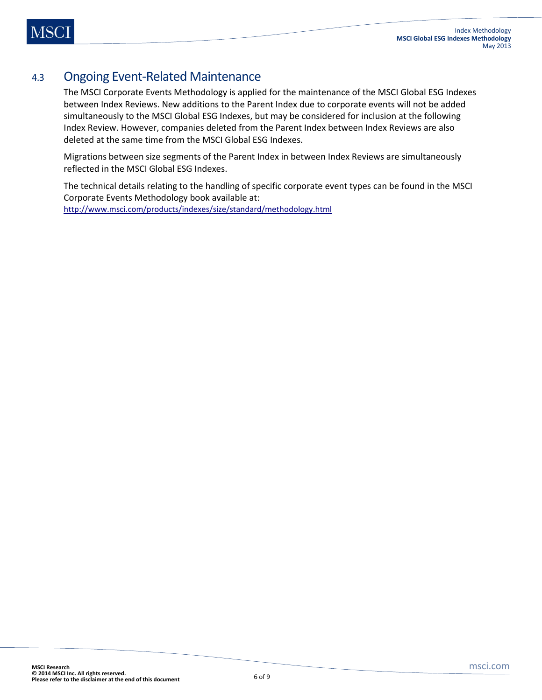### 4.3 Ongoing Event-Related Maintenance

<span id="page-5-0"></span>The MSCI Corporate Events Methodology is applied for the maintenance of the MSCI Global ESG Indexes between Index Reviews. New additions to the Parent Index due to corporate events will not be added simultaneously to the MSCI Global ESG Indexes, but may be considered for inclusion at the following Index Review. However, companies deleted from the Parent Index between Index Reviews are also deleted at the same time from the MSCI Global ESG Indexes.

Migrations between size segments of the Parent Index in between Index Reviews are simultaneously reflected in the MSCI Global ESG Indexes.

The technical details relating to the handling of specific corporate event types can be found in the MSCI Corporate Events Methodology book available at: [http://www.msci.com/products/indexes/size/standard/methodology.html](http://www.msci.com/products/indices/size/standard/methodology.html)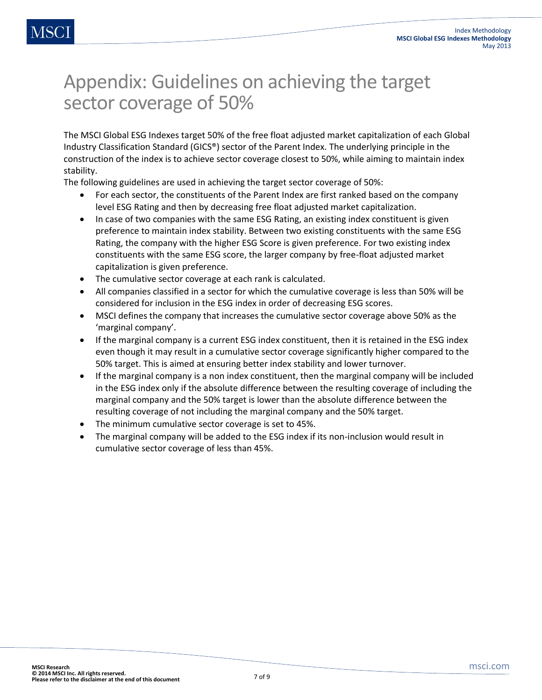## <span id="page-6-0"></span>Appendix: Guidelines on achieving the target sector coverage of 50%

The MSCI Global ESG Indexes target 50% of the free float adjusted market capitalization of each Global Industry Classification Standard (GICS®) sector of the Parent Index. The underlying principle in the construction of the index is to achieve sector coverage closest to 50%, while aiming to maintain index stability.

The following guidelines are used in achieving the target sector coverage of 50%:

- For each sector, the constituents of the Parent Index are first ranked based on the company level ESG Rating and then by decreasing free float adjusted market capitalization.
- In case of two companies with the same ESG Rating, an existing index constituent is given preference to maintain index stability. Between two existing constituents with the same ESG Rating, the company with the higher ESG Score is given preference. For two existing index constituents with the same ESG score, the larger company by free-float adjusted market capitalization is given preference.
- The cumulative sector coverage at each rank is calculated.
- All companies classified in a sector for which the cumulative coverage is less than 50% will be considered for inclusion in the ESG index in order of decreasing ESG scores.
- MSCI defines the company that increases the cumulative sector coverage above 50% as the 'marginal company'.
- If the marginal company is a current ESG index constituent, then it is retained in the ESG index even though it may result in a cumulative sector coverage significantly higher compared to the 50% target. This is aimed at ensuring better index stability and lower turnover.
- If the marginal company is a non index constituent, then the marginal company will be included in the ESG index only if the absolute difference between the resulting coverage of including the marginal company and the 50% target is lower than the absolute difference between the resulting coverage of not including the marginal company and the 50% target.
- The minimum cumulative sector coverage is set to 45%.
- The marginal company will be added to the ESG index if its non-inclusion would result in cumulative sector coverage of less than 45%.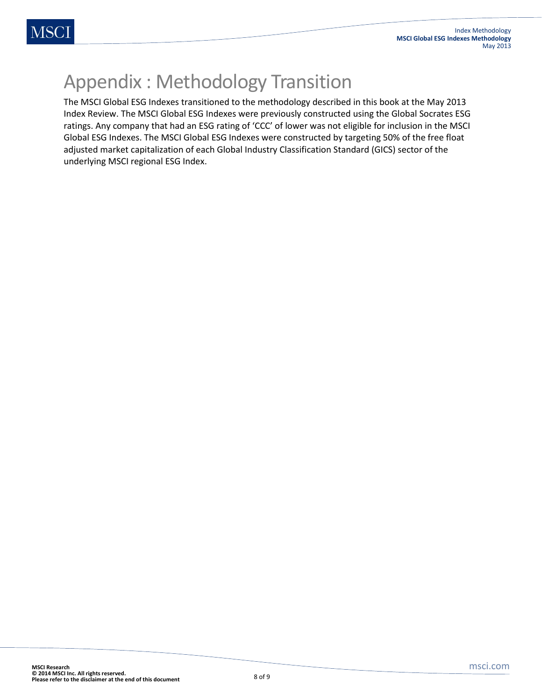## <span id="page-7-0"></span>Appendix : Methodology Transition

The MSCI Global ESG Indexes transitioned to the methodology described in this book at the May 2013 Index Review. The MSCI Global ESG Indexes were previously constructed using the Global Socrates ESG ratings. Any company that had an ESG rating of 'CCC' of lower was not eligible for inclusion in the MSCI Global ESG Indexes. The MSCI Global ESG Indexes were constructed by targeting 50% of the free float adjusted market capitalization of each Global Industry Classification Standard (GICS) sector of the underlying MSCI regional ESG Index.